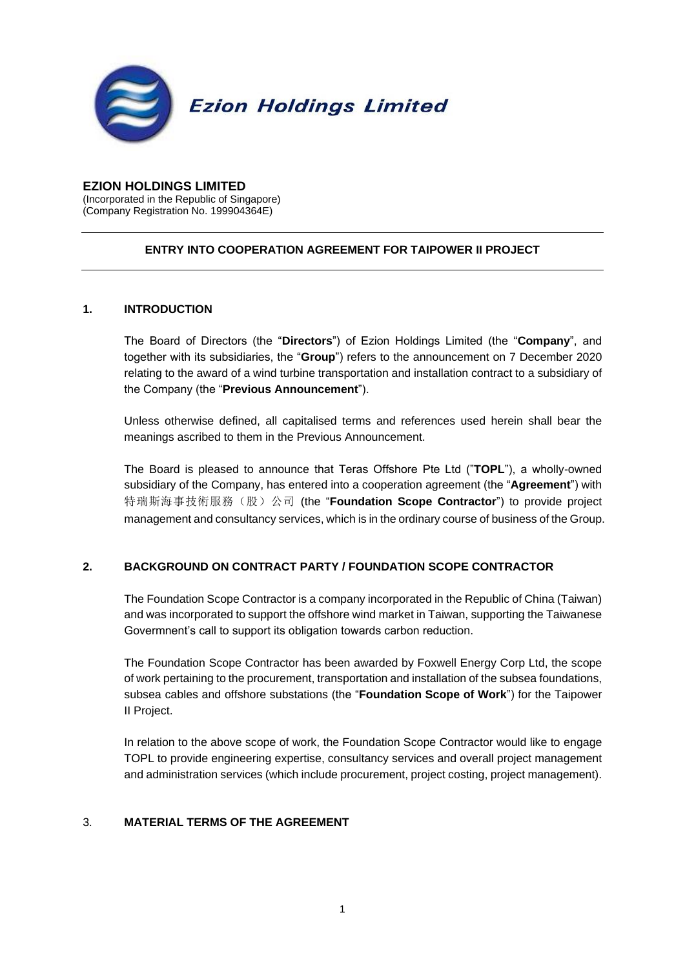

# **EZION HOLDINGS LIMITED**

(Incorporated in the Republic of Singapore) (Company Registration No. 199904364E)

## **ENTRY INTO COOPERATION AGREEMENT FOR TAIPOWER II PROJECT**

### **1. INTRODUCTION**

The Board of Directors (the "**Directors**") of Ezion Holdings Limited (the "**Company**", and together with its subsidiaries, the "**Group**") refers to the announcement on 7 December 2020 relating to the award of a wind turbine transportation and installation contract to a subsidiary of the Company (the "**Previous Announcement**").

Unless otherwise defined, all capitalised terms and references used herein shall bear the meanings ascribed to them in the Previous Announcement.

The Board is pleased to announce that Teras Offshore Pte Ltd ("**TOPL**"), a wholly-owned subsidiary of the Company, has entered into a cooperation agreement (the "**Agreement**") with 特瑞斯海事技術服務(股)公司 (the "**Foundation Scope Contractor**") to provide project management and consultancy services, which is in the ordinary course of business of the Group.

## **2. BACKGROUND ON CONTRACT PARTY / FOUNDATION SCOPE CONTRACTOR**

The Foundation Scope Contractor is a company incorporated in the Republic of China (Taiwan) and was incorporated to support the offshore wind market in Taiwan, supporting the Taiwanese Govermnent's call to support its obligation towards carbon reduction.

The Foundation Scope Contractor has been awarded by Foxwell Energy Corp Ltd, the scope of work pertaining to the procurement, transportation and installation of the subsea foundations, subsea cables and offshore substations (the "**Foundation Scope of Work**") for the Taipower II Project.

In relation to the above scope of work, the Foundation Scope Contractor would like to engage TOPL to provide engineering expertise, consultancy services and overall project management and administration services (which include procurement, project costing, project management).

## 3. **MATERIAL TERMS OF THE AGREEMENT**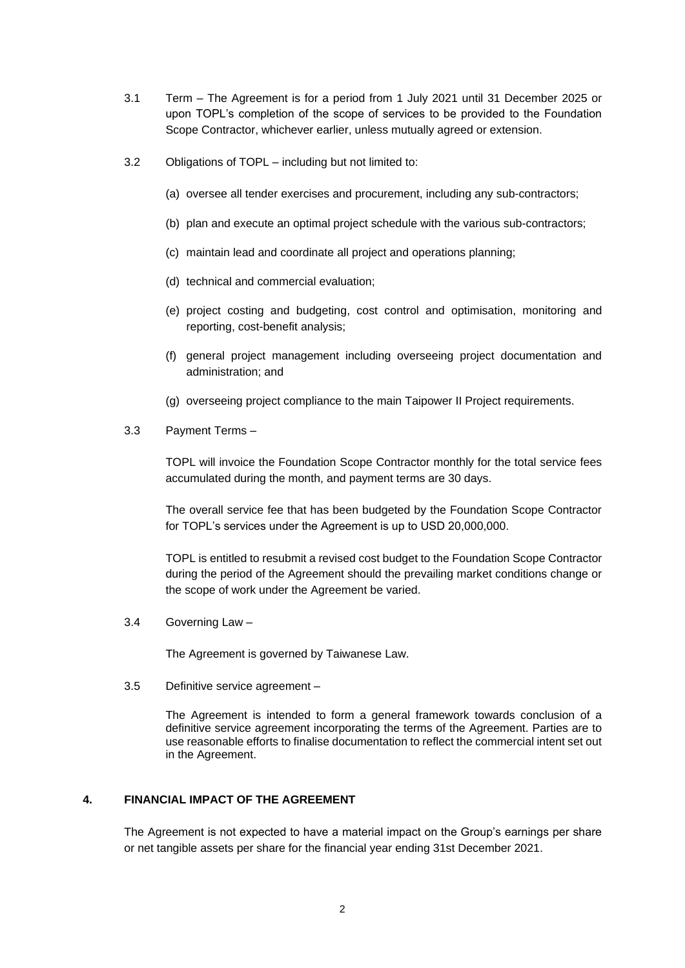- 3.1 Term The Agreement is for a period from 1 July 2021 until 31 December 2025 or upon TOPL's completion of the scope of services to be provided to the Foundation Scope Contractor, whichever earlier, unless mutually agreed or extension.
- 3.2 Obligations of TOPL including but not limited to:
	- (a) oversee all tender exercises and procurement, including any sub-contractors;
	- (b) plan and execute an optimal project schedule with the various sub-contractors;
	- (c) maintain lead and coordinate all project and operations planning;
	- (d) technical and commercial evaluation;
	- (e) project costing and budgeting, cost control and optimisation, monitoring and reporting, cost-benefit analysis;
	- (f) general project management including overseeing project documentation and administration; and
	- (g) overseeing project compliance to the main Taipower II Project requirements.
- 3.3 Payment Terms –

TOPL will invoice the Foundation Scope Contractor monthly for the total service fees accumulated during the month, and payment terms are 30 days.

The overall service fee that has been budgeted by the Foundation Scope Contractor for TOPL's services under the Agreement is up to USD 20,000,000.

TOPL is entitled to resubmit a revised cost budget to the Foundation Scope Contractor during the period of the Agreement should the prevailing market conditions change or the scope of work under the Agreement be varied.

3.4 Governing Law –

The Agreement is governed by Taiwanese Law.

3.5 Definitive service agreement –

The Agreement is intended to form a general framework towards conclusion of a definitive service agreement incorporating the terms of the Agreement. Parties are to use reasonable efforts to finalise documentation to reflect the commercial intent set out in the Agreement.

#### **4. FINANCIAL IMPACT OF THE AGREEMENT**

The Agreement is not expected to have a material impact on the Group's earnings per share or net tangible assets per share for the financial year ending 31st December 2021.